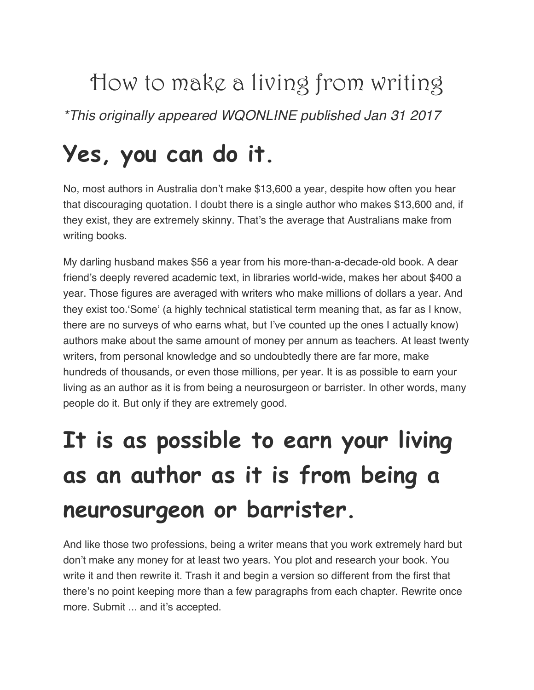How to make a living from writing *\*This originally appeared WQONLINE published Jan 31 2017* 

### **Yes, you can do it.**

No, most authors in Australia don't make \$13,600 a year, despite how often you hear that discouraging quotation. I doubt there is a single author who makes \$13,600 and, if they exist, they are extremely skinny. That's the average that Australians make from writing books.

My darling husband makes \$56 a year from his more-than-a-decade-old book. A dear friend's deeply revered academic text, in libraries world-wide, makes her about \$400 a year. Those figures are averaged with writers who make millions of dollars a year. And they exist too.'Some' (a highly technical statistical term meaning that, as far as I know, there are no surveys of who earns what, but I've counted up the ones I actually know) authors make about the same amount of money per annum as teachers. At least twenty writers, from personal knowledge and so undoubtedly there are far more, make hundreds of thousands, or even those millions, per year. It is as possible to earn your living as an author as it is from being a neurosurgeon or barrister. In other words, many people do it. But only if they are extremely good.

### **It is as possible to earn your living as an author as it is from being a neurosurgeon or barrister.**

And like those two professions, being a writer means that you work extremely hard but don't make any money for at least two years. You plot and research your book. You write it and then rewrite it. Trash it and begin a version so different from the first that there's no point keeping more than a few paragraphs from each chapter. Rewrite once more. Submit ... and it's accepted.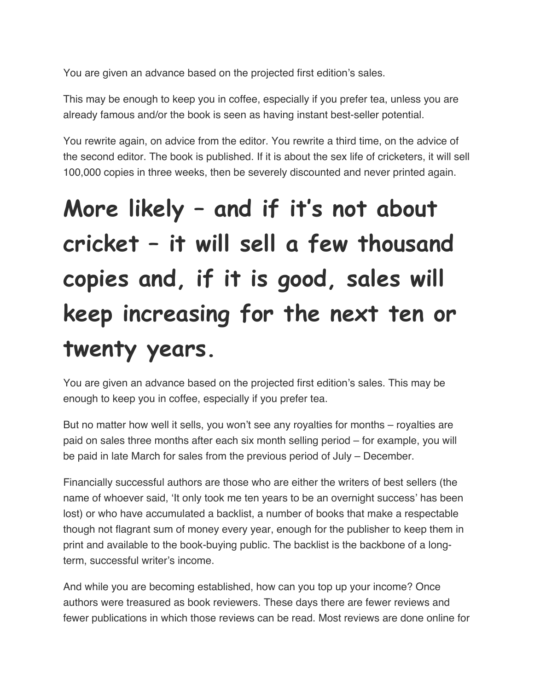You are given an advance based on the projected first edition's sales.

This may be enough to keep you in coffee, especially if you prefer tea, unless you are already famous and/or the book is seen as having instant best-seller potential.

You rewrite again, on advice from the editor. You rewrite a third time, on the advice of the second editor. The book is published. If it is about the sex life of cricketers, it will sell 100,000 copies in three weeks, then be severely discounted and never printed again.

# **More likely – and if it's not about cricket – it will sell a few thousand copies and, if it is good, sales will keep increasing for the next ten or twenty years.**

You are given an advance based on the projected first edition's sales. This may be enough to keep you in coffee, especially if you prefer tea.

But no matter how well it sells, you won't see any royalties for months – royalties are paid on sales three months after each six month selling period – for example, you will be paid in late March for sales from the previous period of July – December.

Financially successful authors are those who are either the writers of best sellers (the name of whoever said, 'It only took me ten years to be an overnight success' has been lost) or who have accumulated a backlist, a number of books that make a respectable though not flagrant sum of money every year, enough for the publisher to keep them in print and available to the book-buying public. The backlist is the backbone of a longterm, successful writer's income.

And while you are becoming established, how can you top up your income? Once authors were treasured as book reviewers. These days there are fewer reviews and fewer publications in which those reviews can be read. Most reviews are done online for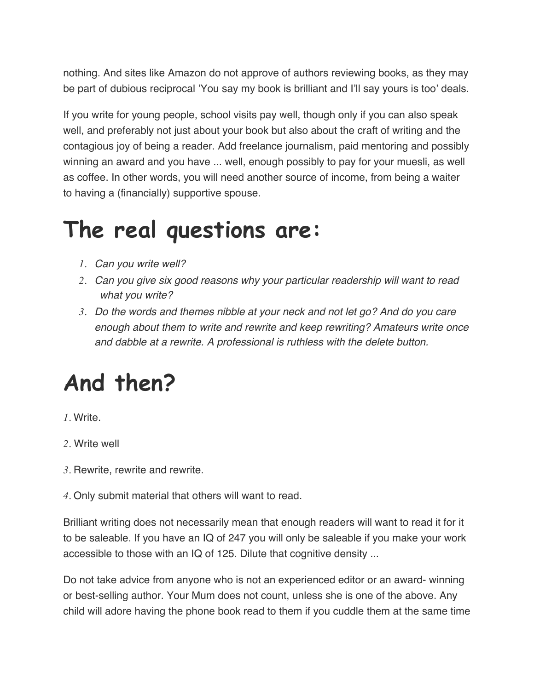nothing. And sites like Amazon do not approve of authors reviewing books, as they may be part of dubious reciprocal 'You say my book is brilliant and I'll say yours is too' deals.

If you write for young people, school visits pay well, though only if you can also speak well, and preferably not just about your book but also about the craft of writing and the contagious joy of being a reader. Add freelance journalism, paid mentoring and possibly winning an award and you have ... well, enough possibly to pay for your muesli, as well as coffee. In other words, you will need another source of income, from being a waiter to having a (financially) supportive spouse.

#### **The real questions are:**

- *1. Can you write well?*
- *2. Can you give six good reasons why your particular readership will want to read what you write?*
- *3. Do the words and themes nibble at your neck and not let go? And do you care enough about them to write and rewrite and keep rewriting? Amateurs write once and dabble at a rewrite. A professional is ruthless with the delete button.*

#### **And then?**

*1.* Write.

- *2.* Write well
- *3.* Rewrite, rewrite and rewrite.
- *4.* Only submit material that others will want to read.

Brilliant writing does not necessarily mean that enough readers will want to read it for it to be saleable. If you have an IQ of 247 you will only be saleable if you make your work accessible to those with an IQ of 125. Dilute that cognitive density ...

Do not take advice from anyone who is not an experienced editor or an award- winning or best-selling author. Your Mum does not count, unless she is one of the above. Any child will adore having the phone book read to them if you cuddle them at the same time